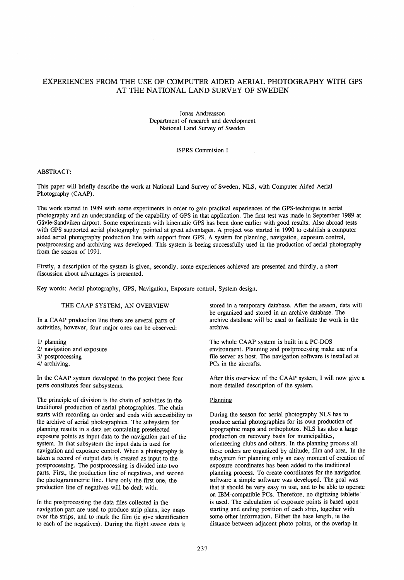# EXPERIENCES FROM THE USE OF COMPUTER AIDED AERIAL PHOTOGRAPHY WITH GPS AT THE NATIONAL LAND SURVEY OF SWEDEN

Jonas Andreasson Department of research and development National Land Survey of Sweden

# ISPRS Commision I

### ABSTRACT:

This paper will briefly describe the work at National Land Survey of SWeden, NLS, with Computer Aided Aerial Photography (CAAP).

The work started in 1989 with some experiments in order to gain practical experiences of the GPS-technique in aerial photography and an understanding of the capability of GPS in that application. The first test was made in September 1989 at Gävle-Sandviken airport. Some experiments with kinematic GPS has been done earlier with good results. Also abroad tests with GPS supported aerial photography pointed at great advantages. A project was started in 1990 to establish a computer aided aerial photography production line with support from GPS. A system for planning, navigation, exposure control, postprocessing and archiving was developed. This system is beeing successfully used in the production of aerial photography from the season of 1991.

Firstly, a description of the system is given, secondly, some experiences achieved are presented and thirdly, a short discussion about advantages is presented.

Key words: Aerial photography, GPS, Navigation, Exposure control, System design.

# THE CAAP SYSTEM, AN OVERVIEW

In a CAAP production line there are several parts of activities, however, four major ones can be observed:

- 1/ planning
- 2/ navigation and exposure
- 3/ postprocessing
- 4/ archiving.

In the CAAP system developed in the project these four parts constitutes four subsystems.

The principle of division is the chain of activities in the traditional production of aerial photographies. The chain starts with recording an order and ends with accessibility to the archive of aerial photographies. The subsystem for planning results in a data set containing preselected exposure points as input data to the navigation part of the system. In that subsystem the input data is used for navigation and exposure control. When a photography is taken a record of output data is created as input to the postprocessing. The postprocessing is divided into two parts. First, the production line of negatives, and second the photogrammetric line. Here only the first one, the production line of negatives will be dealt with.

In the postprocessing the data files collected in the navigation part are used to produce strip plans, key maps over the strips, and to mark the film (ie give identification to each of the negatives). During the flight season data is

stored in a temporary database. After the season, data will be organized and stored in an archive database. The archive database will be used to facilitate the work in the archive.

The whole CAAP system is built in a PC-DOS environment. Planning and postprocessing make use of a file server as host. The navigation software is instalied at PCs in the aircrafts.

After this overview of the CAAP system, I will now give a more detailed description of the system.

### Planning

During the season for aerial photography NLS has to produce aerial photographies for its own production of topographic maps and orthophotos. NLS has also a large production on recovery basis for municipalities, orienteering clubs and others. In the planning process all these orders are organized by altitude, film and area. In the subsystem for planning only an easy moment of creation of exposure coordinates has been added to the traditional planning process. To create coordinates for the navigation software a simple software was developed. The goal was that it should be very easy to use, and to be able to operate on IBM-compatible PCs. Therefore, no digitizing tablette is used. The calculation of exposure points is based upon starting and ending position of each strip, together with some other information. Either the base length, ie the distance between adjacent photo points, or the overlap in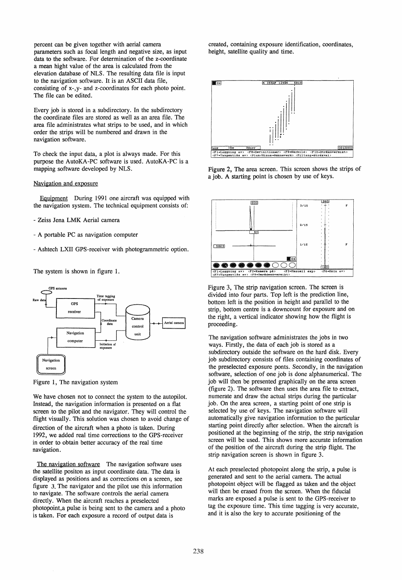percent can be given together with aerial camera parameters such as focal length and negative size, as input data to the software. For determination of the z-coordinate a mean hight value of the area is calculated from the elevation database of NLS. The resulting data file is input to the navigation software. It is an ASCII data file, consisting of x-,y- and z-coordinates for each photo point. The file can be edited.

Every job is stored in a subdirectory. In the subdirectory the coordinate files are stored as weIl as an area file. The area file administrates what strips to be used, and in which order the strips will be numbered and drawn in the navigation software.

To check the input data, a plot is always made. For this purpose the AutoKA-PC software is used. AutoKA-PC is a mapping software developed by NLS.

### Navigation and exposure

Eguipment During 1991 one aircraft was equipped with the navigation system. The technical equipment consists of:

- Zeiss Jena LMK Aerial camera
- A portable PC as navigation computer
- Ashtech LXII GPS-receiver with photogrammetric option.

The system is shown in figure 1.



Figure 1, The navigation system

We have chosen not to connect the system to the autopilot. Instead, the navigation information is presented on a flat screen to the pilot and the navigator. They will control the flight visually. This solution was chosen to avoid change of direction of the aircraft when a photo is taken. During 1992, we added real time corrections to the GPS-receiver in order to obtain better accuracy of the real time navigation.

The navigation software The navigation software uses the satellite positon as input coordinate data. The data is displayed as positions and as corrections on a screen, see figure 3. The navigator and the pilot use this information to navigate. The software controls the aerial camera directly. When the aircraft reaches a preselected photopoint,a pulse is being sent to the camera and a photo is taken. For each exposure a record of output data is

created, containing exposure identification, coordinates, height, satellite quality and time.



Figure 2, The area screen. This screen shows the strips of a job. A starting point is chosen by use of keys.



Figure 3, The strip navigation screen. The screen is divided into four parts. Top left is the prediction line, bottom left is the position in height and parallel to the strip, bottom centre is a downcount for exposure and on the right, a vertical indicator showing how the flight is proceeding.

The navigation software administrates the jobs in two ways. Firstly, the data of each job is stored as a subdirectory outside the software on the hard disk. Every job subdirectory consists of files containing coordinates of the preselected exposure ponts. Secondly, in the navigation software, selection of one job is done alphanumerical. The job will then be presented graphically on the area screen (figure 2). The software then uses the area file to extract, numerate and draw the actual strips during the particular job. On the area screen, a starting point of one strip is selected by use of keys. The navigation software will automatically give navigation information to the particular starting point directly after selection. When the aircraft is positioned at the beginning of the strip, the strip navigation screen will be used. This shows more accurate information of the position of the aircraft during the strip flight. The strip navigation screen is shown in figure 3.

At each preselected photopoint along the strip, a pulse is generated and sent to the aerial camera. The actual photopoint object will be flagged as taken and the object will then be erased from the screen. When the fiducial marks are exposed a pulse is sent to the GPS-receiver to tag the exposure time. This time tagging is very accurate, and it is also the key to accurate positioning of the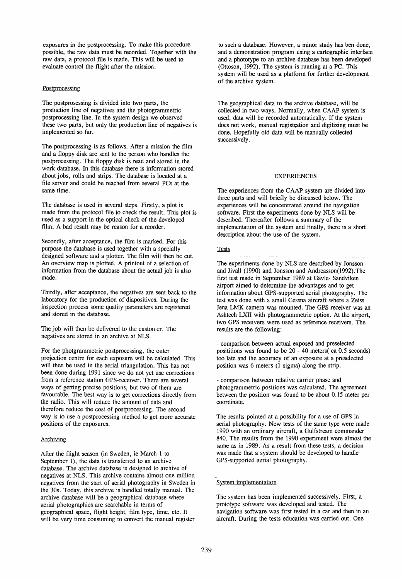exposures in the postprocessing. To make this procedure possible, the raw data must be recorded. Together with the raw data, a protocol file is made. This will be used to evaluate control the flight after the mission.

### Postprocessing

The postprosessing is divided into two parts, the production line of negatives and the photogrammetric postprocessing line. In the system design we observed these two parts, but only the production line of negatives is implemented so far.

The postprocessing is as follows. After a mission the film and a floppy disk are sent to the person who handles the postprocessing. The floppy disk is read and stored in the work database. In this database there is information stored about jobs, rolls and strips. The database is located at a file server and could be reached from several PCs at the same time.

The database is used in several steps. Firstly, a plot is made from the protocol file to check the result. This plot is used as a support in the optical check of the developed film. A bad result may be reason for a reorder.

Secondly, after acceptance, the film is marked. For this purpose the database is used together with a specially designed software and a plotter. The film will then be cut. An overview map is plotted. A printout of a selection of information from the database about the actual job is also made.

Thirdly, after acceptance, the negatives are sent back to the laboratory for the production of diapositives. During the inspection process some quality parameters are registered and stored in the database.

The job will then be delivered to the customer. The negatives are stored in an archive at NLS.

For the photgrammetric postprocessing, the outer projection centre for each exposure will be calculated. This will then be used in the aerial triangulation. This has not been done during 1991 since we do not yet use corrections from a reference station GPS-receiver. There are several ways of getting precise positions, but two of them are favourable. The best way is to get corrections directly from the radio. This will reduce the amount of data and therefore reduce the cost of postprocessing. The second way is to use a postprocessing method to get more accurate positions of the exposures.

### Archiving

After the flight season (in Sweden, ie March 1 to September 1), the data is transferred to an archive database. The archive database is designed to archive of negatives at NLS. This archive contains almost one million negatives from the start of aerial photography in Sweden in the 30s. Today, this archive is handled totally manual. The archive database will be a geographical database where aerial photographies are searchable in terms of geographical space, flight height, film type, time, etc. It will be very time consuming to convert the manual register

to such a database. However, a minor study has ben done, and a demonstration program using a cartographic interface and a phototype to an archive database has been developed (Ottoson, 1992). The system is running at a PC. This system will be used as a platform for further development of the archive system.

The geographical data to the archive database, will be collected in two ways. Normally, when CAAP system is used, data will be recorded automatically. If the system does not work, manual registtation and digitizing must be done. Hopefully old data will be manually collected successively.

#### EXPERIENCES

The experiences from the CAAP system are divided into three parts and will briefly be discussed below. The experiences will be concentrated around the navigation software. First the experiments done by NLS will be described. Thereafter follows a summary of the implementation of the system and finally, there is a short description about the use of the system.

# **Tests**

The experiments done by NLS are described by Jonsson and Jivall (1990) and Jonsson and Andreasson(1992).The first test made in September 1989 at Gävle- Sandviken airport aimed to determine the advantages and to get information about GPS-supported aerial photography. The test was done with a small Cessna aircraft where a Zeiss Jena LMK camera was mounted. The GPS receiver was an Ashtech LXII with photogrammetric option. At the airport, two GPS receivers were used as reference receivers. The results are the following:

- comparison between actual exposed and preselected posititions was found to be 20 - 40 meters( ca 0.5 seconds) too late and the accuracy of an exposure at a preselected position was 6 meters (1 sigma) along the strip.

- comparison between relative carrier phase and photogrammetric positions was calculated. The agreement between the position was found to be about 0.15 meter per coordinate.

The results pointed at a possibility for a use of GPS in aerial photography. New tests of the same type were made 1990 with an ordinary aircraft, a Gulfstream commander 840. The results from the 1990 experiment were almost the same as in 1989. As a result from these tests, a decision was made that a system should be developed to handle GPS-supported aerial photography.

# System implementation

The system has been implemented successively. First, a prototype software was developed and tested. The navigation software was first tested in a car and then in an aircraft. During the tests education was carried out. One